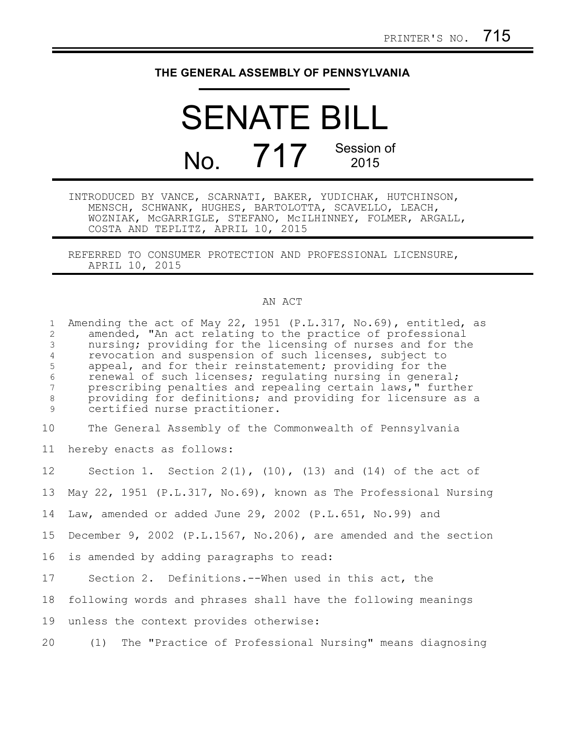## **THE GENERAL ASSEMBLY OF PENNSYLVANIA**

SENATE BILL  $N<sub>0</sub>$   $717$  Session of 2015

INTRODUCED BY VANCE, SCARNATI, BAKER, YUDICHAK, HUTCHINSON, MENSCH, SCHWANK, HUGHES, BARTOLOTTA, SCAVELLO, LEACH, WOZNIAK, McGARRIGLE, STEFANO, McILHINNEY, FOLMER, ARGALL, COSTA AND TEPLITZ, APRIL 10, 2015

REFERRED TO CONSUMER PROTECTION AND PROFESSIONAL LICENSURE, APRIL 10, 2015

## AN ACT

Amending the act of May 22, 1951 (P.L.317, No.69), entitled, as amended, "An act relating to the practice of professional nursing; providing for the licensing of nurses and for the revocation and suspension of such licenses, subject to appeal, and for their reinstatement; providing for the renewal of such licenses; regulating nursing in general; prescribing penalties and repealing certain laws," further providing for definitions; and providing for licensure as a certified nurse practitioner. 1 2 3 4 5 6 7 8 9

The General Assembly of the Commonwealth of Pennsylvania 10

hereby enacts as follows: 11

Section 1. Section  $2(1)$ ,  $(10)$ ,  $(13)$  and  $(14)$  of the act of 12

May 22, 1951 (P.L.317, No.69), known as The Professional Nursing 13

Law, amended or added June 29, 2002 (P.L.651, No.99) and 14

December 9, 2002 (P.L.1567, No.206), are amended and the section 15

is amended by adding paragraphs to read: 16

Section 2. Definitions.--When used in this act, the 17

following words and phrases shall have the following meanings 18

unless the context provides otherwise: 19

(1) The "Practice of Professional Nursing" means diagnosing 20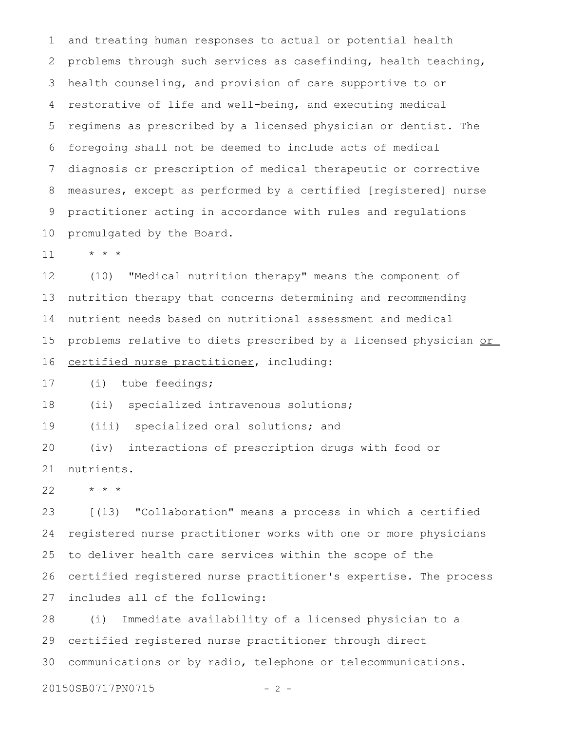and treating human responses to actual or potential health problems through such services as casefinding, health teaching, health counseling, and provision of care supportive to or restorative of life and well-being, and executing medical regimens as prescribed by a licensed physician or dentist. The foregoing shall not be deemed to include acts of medical diagnosis or prescription of medical therapeutic or corrective measures, except as performed by a certified [registered] nurse practitioner acting in accordance with rules and regulations promulgated by the Board. 1 2 3 4 5 6 7 8 9 10

\* \* \* 11

(10) "Medical nutrition therapy" means the component of nutrition therapy that concerns determining and recommending nutrient needs based on nutritional assessment and medical problems relative to diets prescribed by a licensed physician or certified nurse practitioner, including: 12 13 14 15 16

(i) tube feedings; 17

(ii) specialized intravenous solutions; 18

(iii) specialized oral solutions; and 19

(iv) interactions of prescription drugs with food or nutrients. 20 21

\* \* \* 22

[(13) "Collaboration" means a process in which a certified registered nurse practitioner works with one or more physicians to deliver health care services within the scope of the certified registered nurse practitioner's expertise. The process includes all of the following: 23 24 25 26 27

(i) Immediate availability of a licensed physician to a certified registered nurse practitioner through direct communications or by radio, telephone or telecommunications. 28 29 30

```
20150SB0717PN0715 - 2 -
```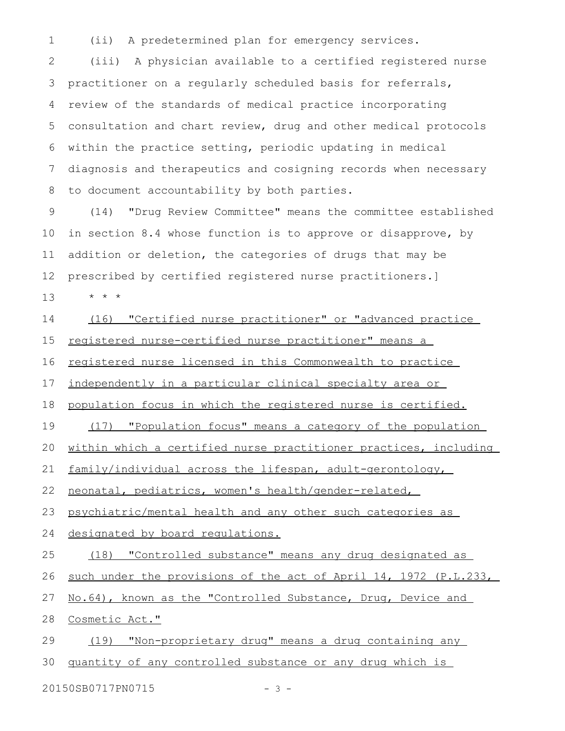(ii) A predetermined plan for emergency services. 1

(iii) A physician available to a certified registered nurse practitioner on a regularly scheduled basis for referrals, review of the standards of medical practice incorporating consultation and chart review, drug and other medical protocols within the practice setting, periodic updating in medical diagnosis and therapeutics and cosigning records when necessary to document accountability by both parties. 2 3 4 5 6 7 8

(14) "Drug Review Committee" means the committee established in section 8.4 whose function is to approve or disapprove, by addition or deletion, the categories of drugs that may be prescribed by certified registered nurse practitioners.] \* \* \* 9 10 11 12 13

(16) "Certified nurse practitioner" or "advanced practice registered nurse-certified nurse practitioner" means a registered nurse licensed in this Commonwealth to practice independently in a particular clinical specialty area or population focus in which the registered nurse is certified. (17) "Population focus" means a category of the population within which a certified nurse practitioner practices, including family/individual across the lifespan, adult-gerontology, neonatal, pediatrics, women's health/gender-related, psychiatric/mental health and any other such categories as designated by board regulations. (18) "Controlled substance" means any drug designated as such under the provisions of the act of April 14, 1972 (P.L.233, No.64), known as the "Controlled Substance, Drug, Device and Cosmetic Act." (19) "Non-proprietary drug" means a drug containing any quantity of any controlled substance or any drug which is 14 15 16 17 18 19 20 21 22 23 24 25 26 27 28 29 30

20150SB0717PN0715 - 3 -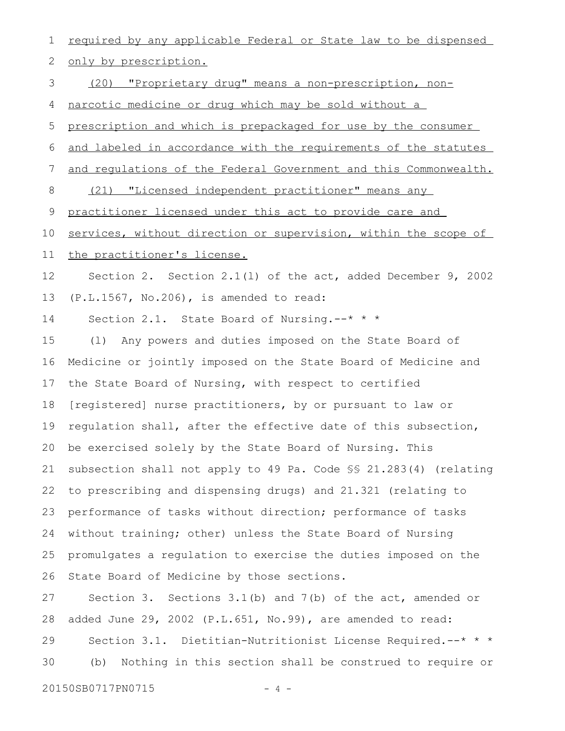required by any applicable Federal or State law to be dispensed only by prescription. (20) "Proprietary drug" means a non-prescription, nonnarcotic medicine or drug which may be sold without a prescription and which is prepackaged for use by the consumer and labeled in accordance with the requirements of the statutes and regulations of the Federal Government and this Commonwealth. (21) "Licensed independent practitioner" means any practitioner licensed under this act to provide care and services, without direction or supervision, within the scope of the practitioner's license. Section 2. Section 2.1(l) of the act, added December 9, 2002 (P.L.1567, No.206), is amended to read: Section 2.1. State Board of Nursing. --\* \* \* (l) Any powers and duties imposed on the State Board of Medicine or jointly imposed on the State Board of Medicine and the State Board of Nursing, with respect to certified [registered] nurse practitioners, by or pursuant to law or regulation shall, after the effective date of this subsection, be exercised solely by the State Board of Nursing. This subsection shall not apply to 49 Pa. Code §§ 21.283(4) (relating to prescribing and dispensing drugs) and 21.321 (relating to performance of tasks without direction; performance of tasks without training; other) unless the State Board of Nursing promulgates a regulation to exercise the duties imposed on the State Board of Medicine by those sections. Section 3. Sections 3.1(b) and 7(b) of the act, amended or added June 29, 2002 (P.L.651, No.99), are amended to read: Section 3.1. Dietitian-Nutritionist License Required.--\* \* \* (b) Nothing in this section shall be construed to require or 1 2 3 4 5 6 7 8 9 10 11 12 13 14 15 16 17 18 19 20 21 22 23 24 25 26 27 28 29 30

20150SB0717PN0715 - 4 -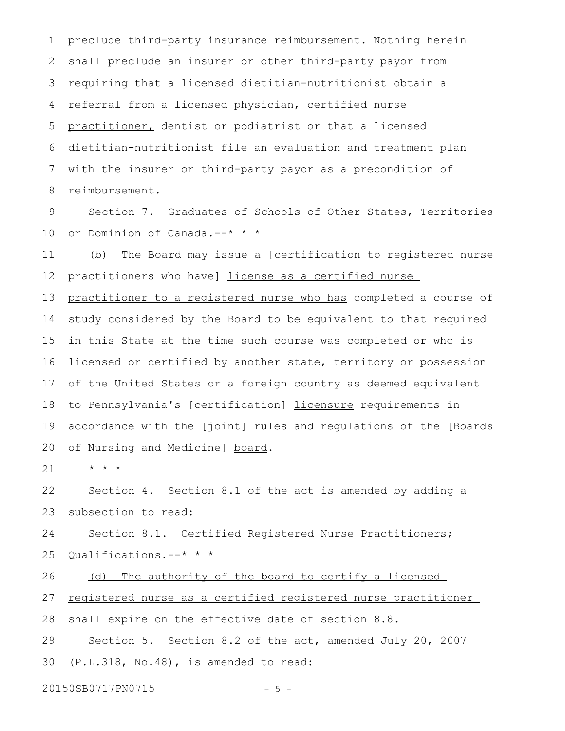preclude third-party insurance reimbursement. Nothing herein shall preclude an insurer or other third-party payor from requiring that a licensed dietitian-nutritionist obtain a referral from a licensed physician, certified nurse practitioner, dentist or podiatrist or that a licensed dietitian-nutritionist file an evaluation and treatment plan with the insurer or third-party payor as a precondition of reimbursement. 1 2 3 4 5 6 7 8

Section 7. Graduates of Schools of Other States, Territories or Dominion of Canada.--\* \* \* 9 10

(b) The Board may issue a [certification to registered nurse practitioners who have] license as a certified nurse 11 12

practitioner to a registered nurse who has completed a course of study considered by the Board to be equivalent to that required in this State at the time such course was completed or who is licensed or certified by another state, territory or possession of the United States or a foreign country as deemed equivalent to Pennsylvania's [certification] licensure requirements in accordance with the [joint] rules and regulations of the [Boards of Nursing and Medicine] board. 13 14 15 16 17 18 19 20

\* \* \* 21

Section 4. Section 8.1 of the act is amended by adding a subsection to read: 22 23

Section 8.1. Certified Registered Nurse Practitioners; Qualifications.--\* \* \* 24 25

(d) The authority of the board to certify a licensed 26

registered nurse as a certified registered nurse practitioner 27

shall expire on the effective date of section 8.8. 28

Section 5. Section 8.2 of the act, amended July 20, 2007 (P.L.318, No.48), is amended to read: 29 30

20150SB0717PN0715 - 5 -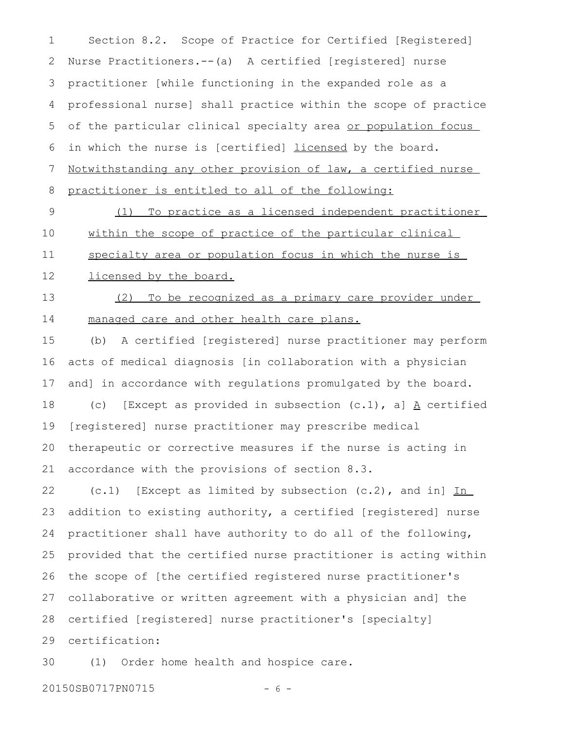Section 8.2. Scope of Practice for Certified [Registered] Nurse Practitioners.--(a) A certified [registered] nurse practitioner [while functioning in the expanded role as a professional nurse] shall practice within the scope of practice of the particular clinical specialty area or population focus in which the nurse is [certified] licensed by the board. Notwithstanding any other provision of law, a certified nurse practitioner is entitled to all of the following: 1 2 3 4 5 6 7 8

(1) To practice as a licensed independent practitioner within the scope of practice of the particular clinical 9 10

specialty area or population focus in which the nurse is 11

licensed by the board. 12

(2) To be recognized as a primary care provider under managed care and other health care plans. 13 14

(b) A certified [registered] nurse practitioner may perform acts of medical diagnosis [in collaboration with a physician and] in accordance with regulations promulgated by the board. (c) [Except as provided in subsection  $(c.1)$ , a]  $\underline{A}$  certified [registered] nurse practitioner may prescribe medical therapeutic or corrective measures if the nurse is acting in accordance with the provisions of section 8.3. 15 16 17 18 19 20 21

 $(c.1)$  [Except as limited by subsection  $(c.2)$ , and in]  $\underline{In}$ addition to existing authority, a certified [registered] nurse practitioner shall have authority to do all of the following, provided that the certified nurse practitioner is acting within the scope of [the certified registered nurse practitioner's collaborative or written agreement with a physician and] the certified [registered] nurse practitioner's [specialty] certification: 22 23 24 25 26 27 28 29

(1) Order home health and hospice care. 30

20150SB0717PN0715 - 6 -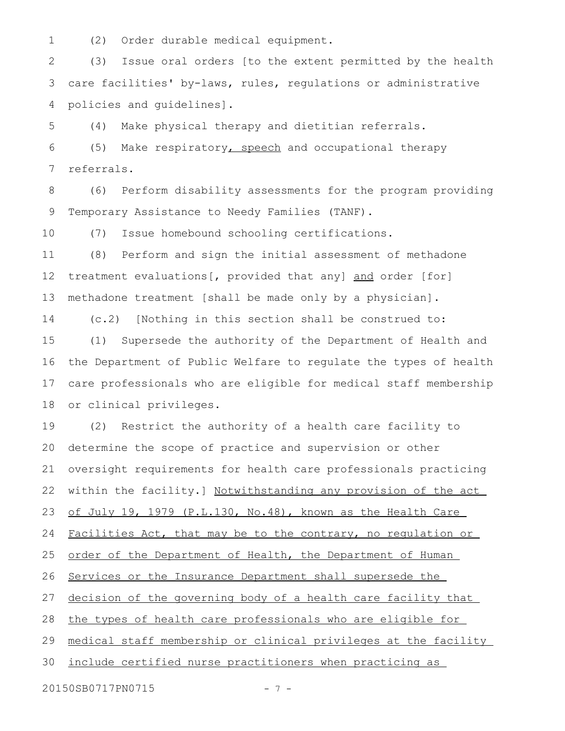(2) Order durable medical equipment. 1

(3) Issue oral orders [to the extent permitted by the health care facilities' by-laws, rules, regulations or administrative policies and guidelines]. 2 3 4

(4) Make physical therapy and dietitian referrals. 5

(5) Make respiratory, speech and occupational therapy referrals. 6 7

(6) Perform disability assessments for the program providing Temporary Assistance to Needy Families (TANF). 8 9

(7) Issue homebound schooling certifications. 10

(8) Perform and sign the initial assessment of methadone treatment evaluations[, provided that any] and order [for] methadone treatment [shall be made only by a physician]. 11 12 13

(c.2) [Nothing in this section shall be construed to: 14

(1) Supersede the authority of the Department of Health and the Department of Public Welfare to regulate the types of health care professionals who are eligible for medical staff membership or clinical privileges. 15 16 17 18

(2) Restrict the authority of a health care facility to determine the scope of practice and supervision or other oversight requirements for health care professionals practicing within the facility.] Notwithstanding any provision of the act of July 19, 1979 (P.L.130, No.48), known as the Health Care Facilities Act, that may be to the contrary, no regulation or order of the Department of Health, the Department of Human Services or the Insurance Department shall supersede the decision of the governing body of a health care facility that the types of health care professionals who are eligible for medical staff membership or clinical privileges at the facility include certified nurse practitioners when practicing as 19 20 21 22 23 24 25 26 27 28 29 30

20150SB0717PN0715 - 7 -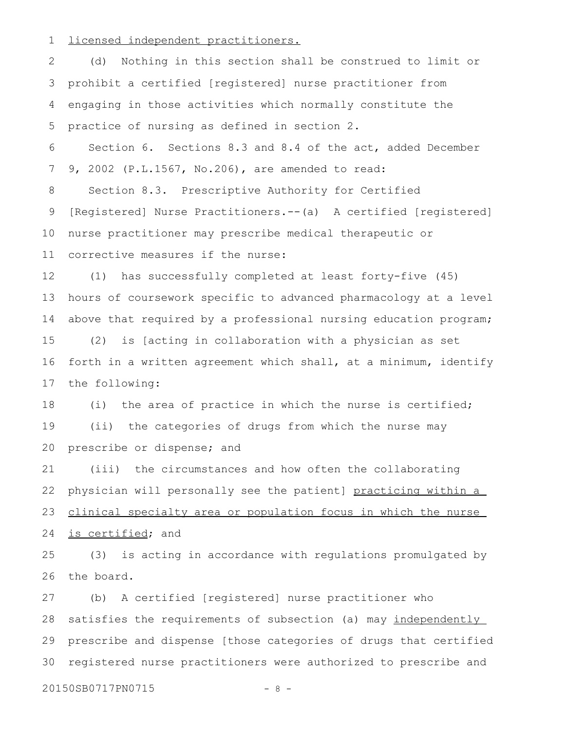licensed independent practitioners. 1

(d) Nothing in this section shall be construed to limit or prohibit a certified [registered] nurse practitioner from engaging in those activities which normally constitute the practice of nursing as defined in section 2. 2 3 4 5

Section 6. Sections 8.3 and 8.4 of the act, added December 9, 2002 (P.L.1567, No.206), are amended to read: 6 7

Section 8.3. Prescriptive Authority for Certified [Registered] Nurse Practitioners.--(a) A certified [registered] nurse practitioner may prescribe medical therapeutic or corrective measures if the nurse: 8 9 10 11

(1) has successfully completed at least forty-five (45) hours of coursework specific to advanced pharmacology at a level above that required by a professional nursing education program; (2) is [acting in collaboration with a physician as set 12 13 14 15

forth in a written agreement which shall, at a minimum, identify the following: 16 17

(i) the area of practice in which the nurse is certified; (ii) the categories of drugs from which the nurse may prescribe or dispense; and 18 19 20

(iii) the circumstances and how often the collaborating physician will personally see the patient] practicing within a clinical specialty area or population focus in which the nurse is certified; and 21 22 23 24

(3) is acting in accordance with regulations promulgated by the board. 25 26

(b) A certified [registered] nurse practitioner who satisfies the requirements of subsection (a) may independently prescribe and dispense [those categories of drugs that certified registered nurse practitioners were authorized to prescribe and 27 28 29 30

20150SB0717PN0715 - 8 -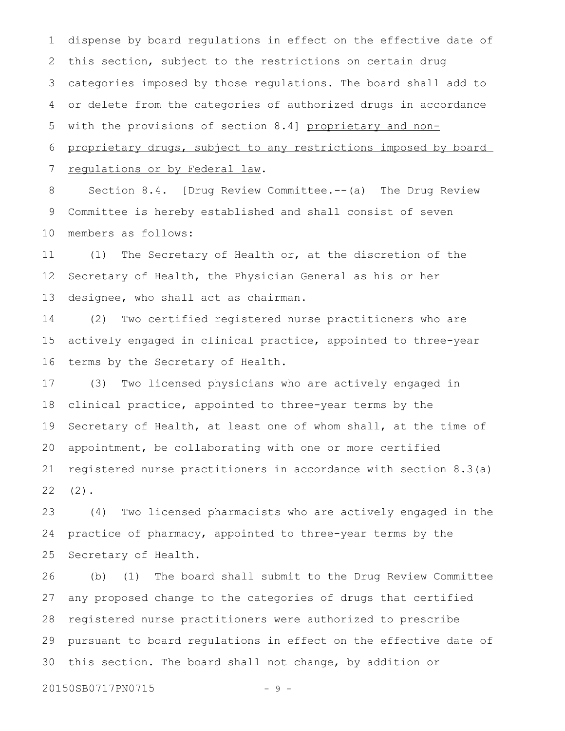dispense by board regulations in effect on the effective date of this section, subject to the restrictions on certain drug categories imposed by those regulations. The board shall add to or delete from the categories of authorized drugs in accordance with the provisions of section 8.4] proprietary and nonproprietary drugs, subject to any restrictions imposed by board regulations or by Federal law. 1 2 3 4 5 6 7

Section 8.4. [Drug Review Committee.--(a) The Drug Review Committee is hereby established and shall consist of seven members as follows: 8 9 10

(1) The Secretary of Health or, at the discretion of the Secretary of Health, the Physician General as his or her designee, who shall act as chairman. 11 12 13

(2) Two certified registered nurse practitioners who are actively engaged in clinical practice, appointed to three-year terms by the Secretary of Health. 14 15 16

(3) Two licensed physicians who are actively engaged in clinical practice, appointed to three-year terms by the Secretary of Health, at least one of whom shall, at the time of appointment, be collaborating with one or more certified registered nurse practitioners in accordance with section 8.3(a) (2). 17 18 19 20 21 22

(4) Two licensed pharmacists who are actively engaged in the practice of pharmacy, appointed to three-year terms by the Secretary of Health. 23 24 25

(b) (1) The board shall submit to the Drug Review Committee any proposed change to the categories of drugs that certified registered nurse practitioners were authorized to prescribe pursuant to board regulations in effect on the effective date of this section. The board shall not change, by addition or 26 27 28 29 30

20150SB0717PN0715 - 9 -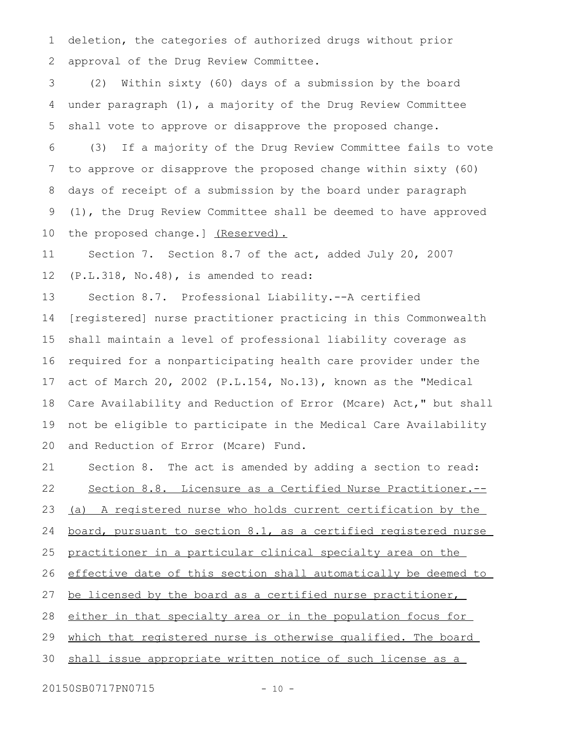deletion, the categories of authorized drugs without prior approval of the Drug Review Committee. 1 2

(2) Within sixty (60) days of a submission by the board under paragraph (1), a majority of the Drug Review Committee shall vote to approve or disapprove the proposed change. 3 4 5

(3) If a majority of the Drug Review Committee fails to vote to approve or disapprove the proposed change within sixty (60) days of receipt of a submission by the board under paragraph (1), the Drug Review Committee shall be deemed to have approved the proposed change.] (Reserved). 6 7 8 9 10

Section 7. Section 8.7 of the act, added July 20, 2007 (P.L.318, No.48), is amended to read: 11 12

Section 8.7. Professional Liability.--A certified [registered] nurse practitioner practicing in this Commonwealth shall maintain a level of professional liability coverage as required for a nonparticipating health care provider under the act of March 20, 2002 (P.L.154, No.13), known as the "Medical Care Availability and Reduction of Error (Mcare) Act," but shall not be eligible to participate in the Medical Care Availability and Reduction of Error (Mcare) Fund. 13 14 15 16 17 18 19 20

Section 8. The act is amended by adding a section to read: Section 8.8. Licensure as a Certified Nurse Practitioner.-- (a) A registered nurse who holds current certification by the board, pursuant to section 8.1, as a certified registered nurse practitioner in a particular clinical specialty area on the effective date of this section shall automatically be deemed to be licensed by the board as a certified nurse practitioner, either in that specialty area or in the population focus for which that registered nurse is otherwise qualified. The board shall issue appropriate written notice of such license as a 21 22 23 24 25 26 27 28 29 30

20150SB0717PN0715 - 10 -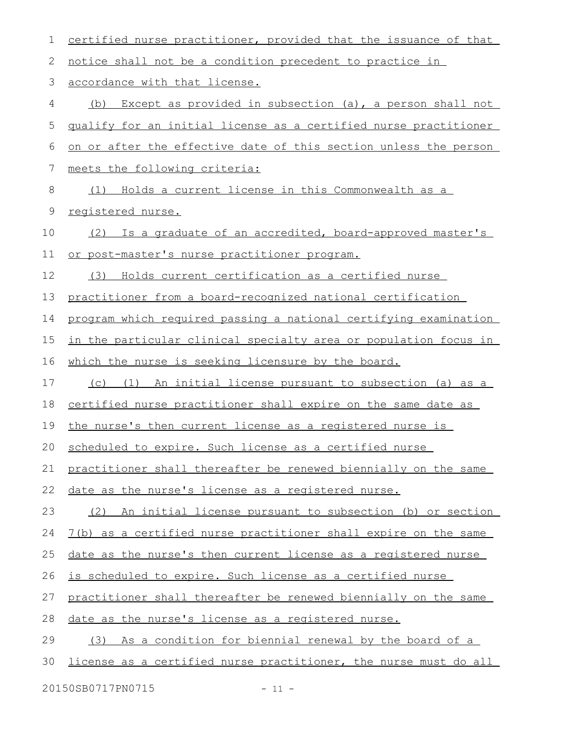| 1  | certified nurse practitioner, provided that the issuance of that        |
|----|-------------------------------------------------------------------------|
| 2  | notice shall not be a condition precedent to practice in                |
| 3  | accordance with that license.                                           |
| 4  | Except as provided in subsection (a), a person shall not<br>(b)         |
| 5  | qualify for an initial license as a certified nurse practitioner        |
| 6  | on or after the effective date of this section unless the person        |
| 7  | meets the following criteria:                                           |
| 8  | (1) Holds a current license in this Commonwealth as a                   |
| 9  | registered nurse.                                                       |
| 10 | Is a graduate of an accredited, board-approved master's<br>(2)          |
| 11 | or post-master's nurse practitioner program.                            |
| 12 | (3) Holds current certification as a certified nurse                    |
| 13 | practitioner from a board-recognized national certification             |
| 14 | program which required passing a national certifying examination        |
| 15 | <u>in the particular clinical specialty area or population focus in</u> |
| 16 | which the nurse is seeking licensure by the board.                      |
| 17 | (c) (1) An initial license pursuant to subsection (a) as a              |
| 18 | certified nurse practitioner shall expire on the same date as           |
| 19 | the nurse's then current license as a registered nurse is               |
|    | 20 scheduled to expire. Such license as a certified nurse               |
| 21 | practitioner shall thereafter be renewed biennially on the same         |
| 22 | date as the nurse's license as a registered nurse.                      |
| 23 | An initial license pursuant to subsection (b) or section<br>(2)         |
| 24 | 7(b) as a certified nurse practitioner shall expire on the same         |
| 25 | date as the nurse's then current license as a registered nurse          |
| 26 | is scheduled to expire. Such license as a certified nurse               |
| 27 | practitioner shall thereafter be renewed biennially on the same         |
| 28 | date as the nurse's license as a registered nurse.                      |
| 29 | (3) As a condition for biennial renewal by the board of a               |
| 30 | license as a certified nurse practitioner, the nurse must do all        |
|    | 20150SB0717PN0715<br>$-11 -$                                            |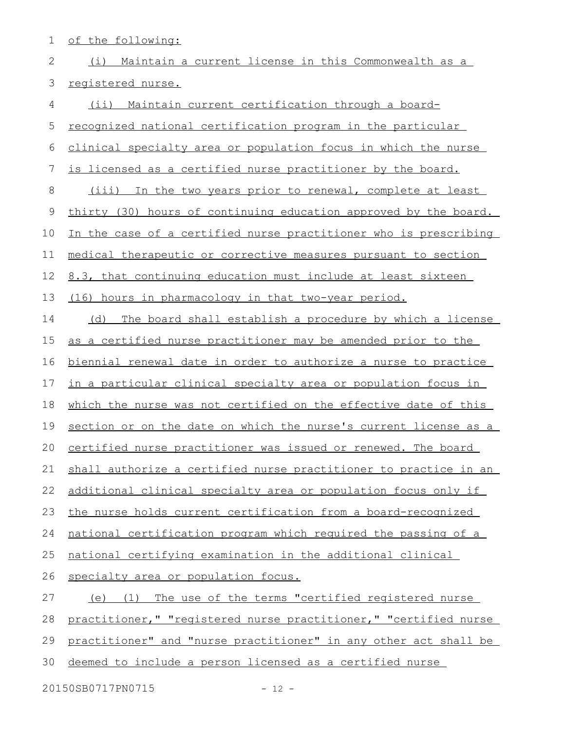| 1  | of the following:                                                |
|----|------------------------------------------------------------------|
| 2  | Maintain a current license in this Commonwealth as a<br>(i)      |
| 3  | registered nurse.                                                |
| 4  | Maintain current certification through a board-<br>$(i$ ii)      |
| 5  | recognized national certification program in the particular      |
| 6  | clinical specialty area or population focus in which the nurse   |
| 7  | is licensed as a certified nurse practitioner by the board.      |
| 8  | (iii) In the two years prior to renewal, complete at least       |
| 9  | thirty (30) hours of continuing education approved by the board. |
| 10 | In the case of a certified nurse practitioner who is prescribing |
| 11 | medical therapeutic or corrective measures pursuant to section   |
| 12 | 8.3, that continuing education must include at least sixteen     |
| 13 | (16) hours in pharmacology in that two-year period.              |
| 14 | (d)<br>The board shall establish a procedure by which a license  |
| 15 | as a certified nurse practitioner may be amended prior to the    |
| 16 | biennial renewal date in order to authorize a nurse to practice  |
| 17 | in a particular clinical specialty area or population focus in   |
| 18 | which the nurse was not certified on the effective date of this  |
| 19 | section or on the date on which the nurse's current license as a |
| 20 | certified nurse practitioner was issued or renewed. The board    |
| 21 | shall authorize a certified nurse practitioner to practice in an |
| 22 | additional clinical specialty area or population focus only if   |
| 23 | the nurse holds current certification from a board-recognized    |
| 24 | national certification program which required the passing of a   |
| 25 | national certifying examination in the additional clinical       |
| 26 | specialty area or population focus.                              |
| 27 | (e) (1) The use of the terms "certified registered nurse         |
| 28 | practitioner," "registered nurse practitioner," "certified nurse |
| 29 | practitioner" and "nurse practitioner" in any other act shall be |
| 30 | deemed to include a person licensed as a certified nurse         |
|    | 20150SB0717PN0715<br>$-12 -$                                     |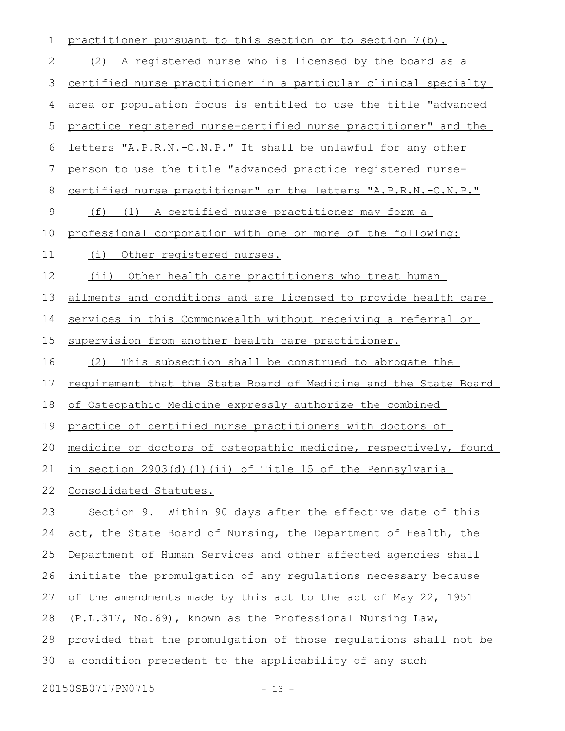| $\mathbf 1$  | practitioner pursuant to this section or to section 7(b).             |
|--------------|-----------------------------------------------------------------------|
| $\mathbf{2}$ | (2) A registered nurse who is licensed by the board as a              |
| 3            | certified nurse practitioner in a particular clinical specialty       |
| 4            | area or population focus is entitled to use the title "advanced       |
| 5            | practice registered nurse-certified nurse practitioner" and the       |
| 6            | letters "A.P.R.N.-C.N.P." It shall be unlawful for any other          |
| 7            | person to use the title "advanced practice registered nurse-          |
| 8            | <u>certified nurse practitioner" or the letters "A.P.R.N.-C.N.P."</u> |
| $\mathsf 9$  | (f) (1) A certified nurse practitioner may form a                     |
| 10           | professional corporation with one or more of the following:           |
| 11           | Other registered nurses.<br>(i)                                       |
| 12           | (i)<br>Other health care practitioners who treat human                |
| 13           | ailments and conditions and are licensed to provide health care       |
| 14           | services in this Commonwealth without receiving a referral or         |
| 15           | supervision from another health care practitioner.                    |
| 16           | This subsection shall be construed to abrogate the<br>(2)             |
| 17           | requirement that the State Board of Medicine and the State Board      |
| 18           | of Osteopathic Medicine expressly authorize the combined              |
| 19           | practice of certified nurse practitioners with doctors of             |
| 20           | medicine or doctors of osteopathic medicine, respectively, found      |
| 21           | in section 2903(d)(1)(ii) of Title 15 of the Pennsylvania             |
| 22           | Consolidated Statutes.                                                |
| 23           | Section 9. Within 90 days after the effective date of this            |
| 24           | act, the State Board of Nursing, the Department of Health, the        |
| 25           | Department of Human Services and other affected agencies shall        |
| 26           | initiate the promulgation of any regulations necessary because        |
| 27           | of the amendments made by this act to the act of May 22, 1951         |
| 28           | (P.L.317, No.69), known as the Professional Nursing Law,              |
| 29           | provided that the promulgation of those regulations shall not be      |

30 a condition precedent to the applicability of any such

20150SB0717PN0715 - 13 -